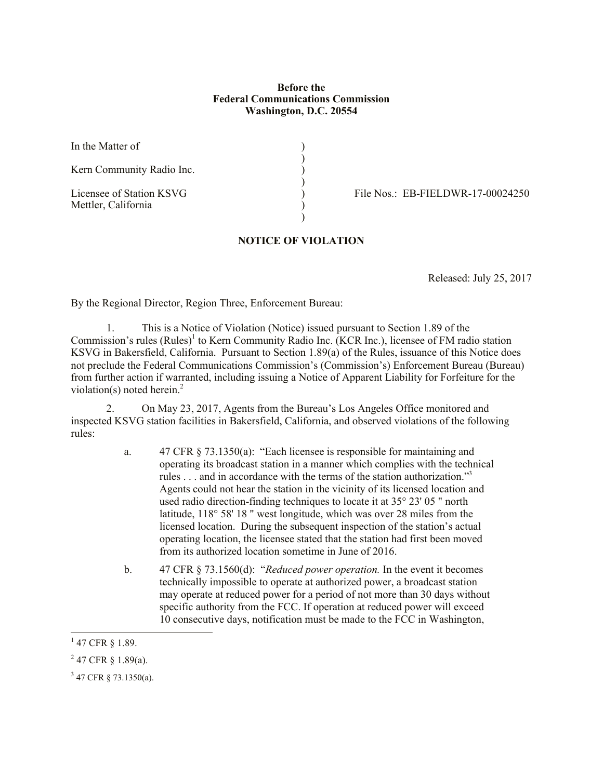## **Before the Federal Communications Commission Washington, D.C. 20554**

)

)<br>)

In the Matter of  $\qquad \qquad$  )

Kern Community Radio Inc. )

Mettler, California )

Licensee of Station KSVG <br>
File Nos.: EB-FIELDWR-17-00024250

## **NOTICE OF VIOLATION**

)

Released: July 25, 2017

By the Regional Director, Region Three, Enforcement Bureau:

1. This is a Notice of Violation (Notice) issued pursuant to Section 1.89 of the Commission's rules (Rules)<sup>1</sup> to Kern Community Radio Inc. (KCR Inc.), licensee of FM radio station KSVG in Bakersfield, California. Pursuant to Section 1.89(a) of the Rules, issuance of this Notice does not preclude the Federal Communications Commission's (Commission's) Enforcement Bureau (Bureau) from further action if warranted, including issuing a Notice of Apparent Liability for Forfeiture for the violation(s) noted herein.<sup>2</sup>

2. On May 23, 2017, Agents from the Bureau's Los Angeles Office monitored and inspected KSVG station facilities in Bakersfield, California, and observed violations of the following rules:

- a. 47 CFR § 73.1350(a): "Each licensee is responsible for maintaining and operating its broadcast station in a manner which complies with the technical rules . . . and in accordance with the terms of the station authorization."<sup>3</sup> Agents could not hear the station in the vicinity of its licensed location and used radio direction-finding techniques to locate it at 35° 23' 05 " north latitude, 118° 58' 18 " west longitude, which was over 28 miles from the licensed location. During the subsequent inspection of the station's actual operating location, the licensee stated that the station had first been moved from its authorized location sometime in June of 2016.
- b. 47 CFR § 73.1560(d): "*Reduced power operation.* In the event it becomes technically impossible to operate at authorized power, a broadcast station may operate at reduced power for a period of not more than 30 days without specific authority from the FCC. If operation at reduced power will exceed 10 consecutive days, notification must be made to the FCC in Washington,

 $\overline{a}$ 

 $1$  47 CFR § 1.89.

 $2$  47 CFR § 1.89(a).

 $3$  47 CFR § 73.1350(a).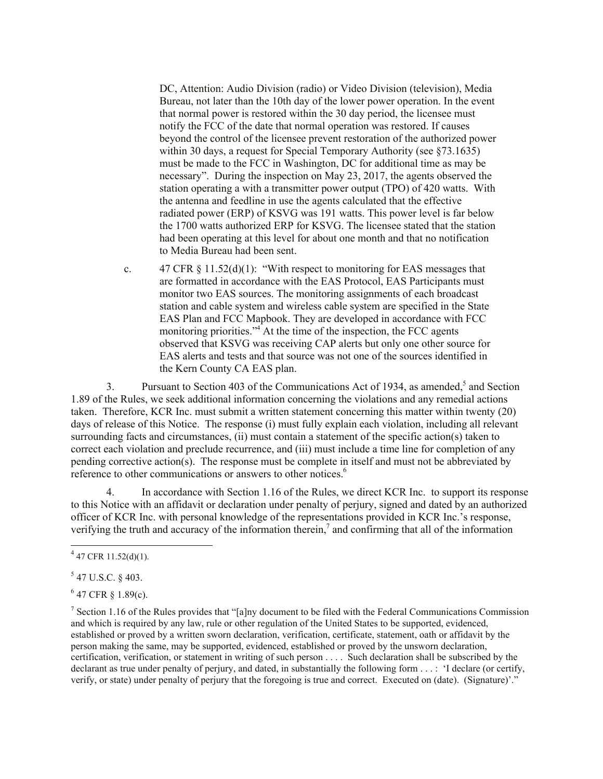DC, Attention: Audio Division (radio) or Video Division (television), Media Bureau, not later than the 10th day of the lower power operation. In the event that normal power is restored within the 30 day period, the licensee must notify the FCC of the date that normal operation was restored. If causes beyond the control of the licensee prevent restoration of the authorized power within 30 days, a request for Special Temporary Authority (see §73.1635) must be made to the FCC in Washington, DC for additional time as may be necessary". During the inspection on May 23, 2017, the agents observed the station operating a with a transmitter power output (TPO) of 420 watts. With the antenna and feedline in use the agents calculated that the effective radiated power (ERP) of KSVG was 191 watts. This power level is far below the 1700 watts authorized ERP for KSVG. The licensee stated that the station had been operating at this level for about one month and that no notification to Media Bureau had been sent.

c.  $47 \text{ CFR } \frac{11.52(d)(1)}{1}$ : "With respect to monitoring for EAS messages that are formatted in accordance with the EAS Protocol, EAS Participants must monitor two EAS sources. The monitoring assignments of each broadcast station and cable system and wireless cable system are specified in the State EAS Plan and FCC Mapbook. They are developed in accordance with FCC monitoring priorities." $4\overline{}$  At the time of the inspection, the FCC agents observed that KSVG was receiving CAP alerts but only one other source for EAS alerts and tests and that source was not one of the sources identified in the Kern County CA EAS plan.

3. Pursuant to Section 403 of the Communications Act of 1934, as amended,<sup>5</sup> and Section 1.89 of the Rules, we seek additional information concerning the violations and any remedial actions taken. Therefore, KCR Inc. must submit a written statement concerning this matter within twenty (20) days of release of this Notice. The response (i) must fully explain each violation, including all relevant surrounding facts and circumstances, (ii) must contain a statement of the specific action(s) taken to correct each violation and preclude recurrence, and (iii) must include a time line for completion of any pending corrective action(s). The response must be complete in itself and must not be abbreviated by reference to other communications or answers to other notices.<sup>6</sup>

4. In accordance with Section 1.16 of the Rules, we direct KCR Inc. to support its response to this Notice with an affidavit or declaration under penalty of perjury, signed and dated by an authorized officer of KCR Inc. with personal knowledge of the representations provided in KCR Inc.'s response, verifying the truth and accuracy of the information therein, $\frac{7}{4}$  and confirming that all of the information

 $4\overline{47}$  CFR 11.52(d)(1).

 $547$  U.S.C. § 403.

 $647$  CFR § 1.89(c).

<sup>&</sup>lt;sup>7</sup> Section 1.16 of the Rules provides that "[a]ny document to be filed with the Federal Communications Commission and which is required by any law, rule or other regulation of the United States to be supported, evidenced, established or proved by a written sworn declaration, verification, certificate, statement, oath or affidavit by the person making the same, may be supported, evidenced, established or proved by the unsworn declaration, certification, verification, or statement in writing of such person . . . . Such declaration shall be subscribed by the declarant as true under penalty of perjury, and dated, in substantially the following form . . . : 'I declare (or certify, verify, or state) under penalty of perjury that the foregoing is true and correct. Executed on (date). (Signature)'."